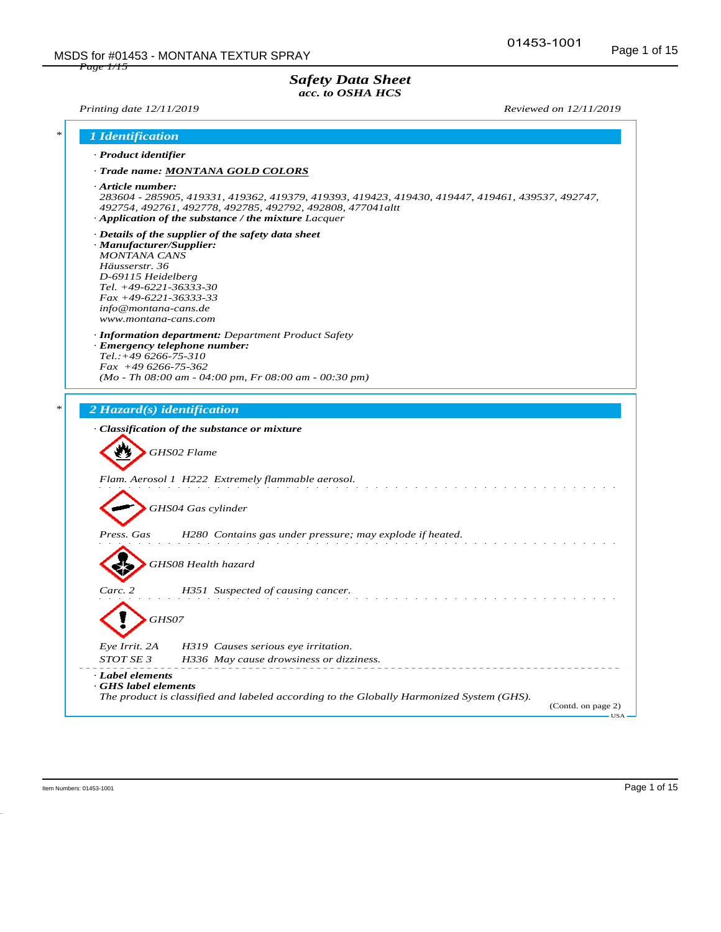#### *Safety Data Sheet acc. to OSHA HCS*

*Printing date 12/11/2019 Reviewed on 12/11/2019*

| · Product identifier                                                                                                                                                                            |                                                                                                                                                                                                                              |
|-------------------------------------------------------------------------------------------------------------------------------------------------------------------------------------------------|------------------------------------------------------------------------------------------------------------------------------------------------------------------------------------------------------------------------------|
|                                                                                                                                                                                                 | · Trade name: MONTANA GOLD COLORS                                                                                                                                                                                            |
| $\cdot$ Article number:                                                                                                                                                                         | 283604 - 285905, 419331, 419362, 419379, 419393, 419423, 419430, 419447, 419461, 439537, 492747,<br>492754, 492761, 492778, 492785, 492792, 492808, 477041altt<br>$\cdot$ Application of the substance / the mixture Lacquer |
| · Manufacturer/Supplier:<br><b>MONTANA CANS</b><br>Häusserstr. 36<br>D-69115 Heidelberg<br>Tel. $+49-6221-36333-30$<br>$Fax + 49-6221-36333-33$<br>info@montana-cans.de<br>www.montana-cans.com | $\cdot$ Details of the supplier of the safety data sheet<br>· Information department: Department Product Safety                                                                                                              |
|                                                                                                                                                                                                 | $\cdot$ Emergency telephone number:                                                                                                                                                                                          |
| $Tel.:+496266-75-310$<br>$Fax +496266-75-362$                                                                                                                                                   |                                                                                                                                                                                                                              |
|                                                                                                                                                                                                 | $(Mo - Th 08:00 am - 04:00 pm, Fr 08:00 am - 00:30 pm)$                                                                                                                                                                      |
| 2 Hazard(s) identification                                                                                                                                                                      | · Classification of the substance or mixture                                                                                                                                                                                 |
|                                                                                                                                                                                                 | GHS02 Flame                                                                                                                                                                                                                  |
|                                                                                                                                                                                                 | Flam. Aerosol 1 H222 Extremely flammable aerosol.                                                                                                                                                                            |
|                                                                                                                                                                                                 | GHS04 Gas cylinder                                                                                                                                                                                                           |
| Press. Gas                                                                                                                                                                                      | H280 Contains gas under pressure; may explode if heated.                                                                                                                                                                     |
|                                                                                                                                                                                                 | GHS08 Health hazard                                                                                                                                                                                                          |
| Carc. 2                                                                                                                                                                                         | H351 Suspected of causing cancer.                                                                                                                                                                                            |
| GHS07                                                                                                                                                                                           |                                                                                                                                                                                                                              |
| Eye Irrit. 2A                                                                                                                                                                                   | H319 Causes serious eye irritation.                                                                                                                                                                                          |
| STOT SE 3                                                                                                                                                                                       | H336 May cause drowsiness or dizziness.                                                                                                                                                                                      |
| · Label elements<br>GHS label elements                                                                                                                                                          |                                                                                                                                                                                                                              |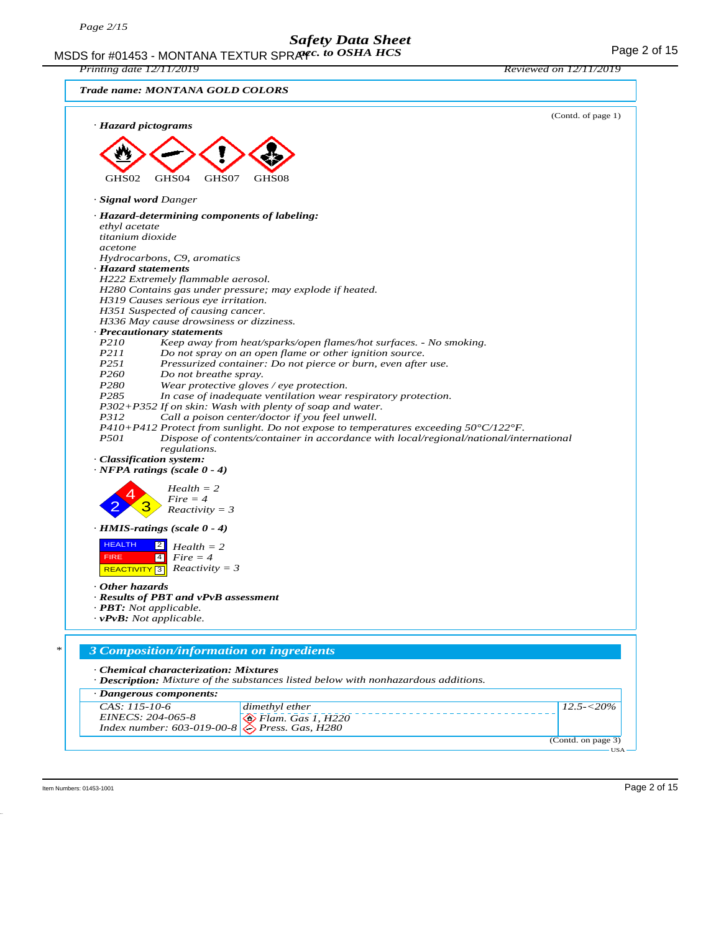MSDS for #01453 - MONTANA TEXTUR SPRAYC. to OSHA HCS THE RESOLUTION CONTROL Page 2 of 15 *acc. to OSHA HCS*

*Printing date 12/11/2019 Reviewed on 12/11/2019*

| Trade name: MONTANA GOLD COLORS                                                                                       |                    |
|-----------------------------------------------------------------------------------------------------------------------|--------------------|
| · Hazard pictograms                                                                                                   | (Contd. of page 1) |
|                                                                                                                       |                    |
|                                                                                                                       |                    |
| GHS02<br>GHS04<br>GHS07<br>GHS08                                                                                      |                    |
| · <b>Signal word Danger</b>                                                                                           |                    |
| · Hazard-determining components of labeling:                                                                          |                    |
| ethyl acetate                                                                                                         |                    |
| titanium dioxide<br>acetone                                                                                           |                    |
| Hydrocarbons, C9, aromatics                                                                                           |                    |
| · Hazard statements                                                                                                   |                    |
| H222 Extremely flammable aerosol.                                                                                     |                    |
| H280 Contains gas under pressure; may explode if heated.                                                              |                    |
| H319 Causes serious eye irritation.                                                                                   |                    |
| H351 Suspected of causing cancer.                                                                                     |                    |
| H336 May cause drowsiness or dizziness.                                                                               |                    |
| · Precautionary statements                                                                                            |                    |
| P210<br>Keep away from heat/sparks/open flames/hot surfaces. - No smoking.                                            |                    |
| <i>P211</i><br>Do not spray on an open flame or other ignition source.                                                |                    |
| P251<br>Pressurized container: Do not pierce or burn, even after use.                                                 |                    |
| P <sub>260</sub><br>Do not breathe spray.<br>P280<br>Wear protective gloves / eye protection.                         |                    |
| P <sub>2</sub> 85<br>In case of inadequate ventilation wear respiratory protection.                                   |                    |
| $P302+P352$ If on skin: Wash with plenty of soap and water.                                                           |                    |
| P312<br>Call a poison center/doctor if you feel unwell.                                                               |                    |
| P410+P412 Protect from sunlight. Do not expose to temperatures exceeding $50^{\circ}$ C/122 $^{\circ}$ F.             |                    |
| <i>P501</i><br>Dispose of contents/container in accordance with local/regional/national/international<br>regulations. |                    |
| · Classification system:                                                                                              |                    |
| $\cdot$ NFPA ratings (scale 0 - 4)                                                                                    |                    |
| $Health = 2$                                                                                                          |                    |
| $Fire = 4$                                                                                                            |                    |
| $Reactivity = 3$                                                                                                      |                    |
| $\cdot$ HMIS-ratings (scale $0 - 4$ )                                                                                 |                    |
| <b>HEALTH</b><br>$\overline{2}$                                                                                       |                    |
| $Health = 2$<br>$\sqrt{4}$<br>$Fire = 4$<br><b>FIRE</b>                                                               |                    |
| $Reactivity = 3$<br>REACTIVITY <sup>3</sup>                                                                           |                    |
|                                                                                                                       |                    |
| Other hazards                                                                                                         |                    |
| · Results of PBT and vPvB assessment                                                                                  |                    |
| · <b>PBT</b> : Not applicable.                                                                                        |                    |
| $\cdot$ vPvB: Not applicable.                                                                                         |                    |
|                                                                                                                       |                    |
| 3 Composition/information on ingredients                                                                              |                    |
| · Chemical characterization: Mixtures                                                                                 |                    |
| · Description: Mixture of the substances listed below with nonhazardous additions.                                    |                    |
| · Dangerous components:                                                                                               |                    |
| CAS: 115-10-6<br>dimethyl ether                                                                                       | $12.5 - 20\%$      |
| EINECS: 204-065-8<br>$\bigotimes$ Flam. Gas 1, H220                                                                   |                    |
| Index number: 603-019-00-8<br>Press. Gas, H280                                                                        |                    |
|                                                                                                                       | (Contd. on page 3) |

Item Numbers: 01453-1001 Page 2 of 15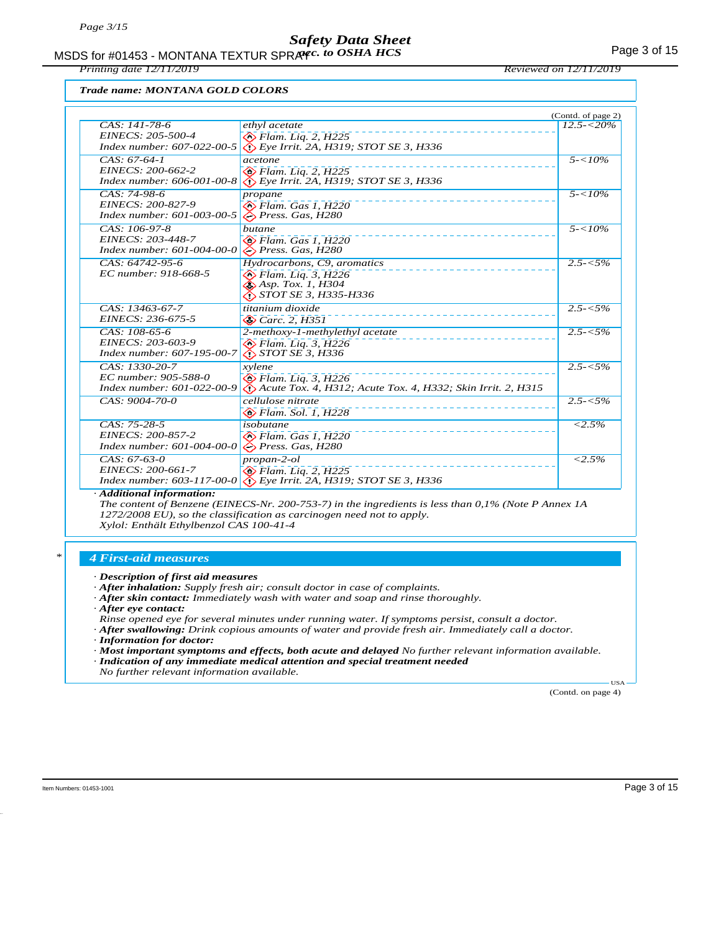MSDS for #01453 - MONTANA TEXTUR SPRAYC. to OSHA HCS **Acceleration of the CALITA** Page 3 of 15

*Printing date 12/11/2019 Reviewed on 12/11/2019*

#### *Trade name: MONTANA GOLD COLORS*

|                                    |                                                                                            | (Contd. of page 2)  |
|------------------------------------|--------------------------------------------------------------------------------------------|---------------------|
| $CAS: 141-78-6$                    | ethyl acetate                                                                              | $12.5 - 20\%$       |
| EINECS: 205-500-4                  | $\bigotimes$ Flam. Lig. 2, H225                                                            |                     |
| Index number: 607-022-00-5         | $\bigotimes$ Eye Irrit. 2A, H319; STOT SE 3, H336                                          |                     |
| $CA\overline{S: 67-64-1}$          | acetone                                                                                    | $5 - 10\%$          |
| EINECS: 200-662-2                  | <b>◆ Flam.</b> Lig. 2, H225                                                                |                     |
| Index number: 606-001-00-8         | $\bigotimes$ Eye Irrit. 2A, H319; STOT SE 3, H336                                          |                     |
| $CAS: 74-98-6$                     | propane                                                                                    | $5 - 10\%$          |
| EINECS: 200-827-9                  | $\bigotimes$ Flam. Gas 1. H220                                                             |                     |
| Index number: 601-003-00-5         | $\bigotimes$ Press. Gas, H280                                                              |                     |
| CAS: 106-97-8                      | butane                                                                                     | $5 - 10\%$          |
| EINECS: 203-448-7                  | $\diamondsuit$ Flam. Gas 1, H220                                                           |                     |
| Index number: $601 - 004 - 00 - 0$ | $\bigotimes$ Press. Gas, H280                                                              |                     |
| CAS: 64742-95-6                    | Hydrocarbons, C9, aromatics                                                                | $2.5 - 5\%$         |
| EC number: 918-668-5               | $\diamondsuit$ Flam. Liq. 3, H226<br>$\diamond$ Asp. Tox. 1, H304                          |                     |
|                                    | STOT SE 3, H335-H336                                                                       |                     |
| $CAS: 13463-67-7$                  | titanium dioxide                                                                           | $2.5 - 5\%$         |
| EINECS: 236-675-5                  | $\otimes$ Carc. 2, H351                                                                    |                     |
| CAS: 108-65-6                      |                                                                                            | $2.5 - 5\%$         |
| EINECS: 203-603-9                  | 2-methoxy-1-methylethyl acetate                                                            |                     |
| Index number: 607-195-00-7         | <b>◆ Flam.</b> Lig. 3, H226<br><i>&lt;े STOT SE 3, H336</i>                                |                     |
| CAS: 1330-20-7                     | xylene                                                                                     | $2.5 - 5\%$         |
| EC number: 905-588-0               |                                                                                            |                     |
| Index number: 601-022-00-9         | <b>◆ Flam. Liq. 3, H226</b><br>Acute Tox. 4, H312; Acute Tox. 4, H332; Skin Irrit. 2, H315 |                     |
| CAS: 9004-70-0                     | cellulose nitrate                                                                          | $2.5 - 5\%$         |
|                                    | $\otimes$ Flam. Sol. 1, H228                                                               |                     |
| $CAS: 75-28-5$                     | isobutane                                                                                  | $< 2.5\%$           |
| EINECS: 200-857-2                  | $\otimes$ Flam. Gas 1. H220                                                                |                     |
| Index number: 601-004-00-0         | $\diamond$ Press. Gas, H280                                                                |                     |
| $CAS: 67-63-0$                     | $propan-2-ol$                                                                              | $\overline{<}2.5\%$ |
| EINECS: 200-661-7                  | $\otimes$ Flam. Liq. 2, H225                                                               |                     |
| Index number: $603 - 117 - 00 - 0$ | $\bigotimes$ Eye Irrit. 2A, H319; STOT SE 3, H336                                          |                     |
|                                    |                                                                                            |                     |

*· Additional information:*

*The content of Benzene (EINECS-Nr. 200-753-7) in the ingredients is less than 0,1% (Note P Annex 1A 1272/2008 EU), so the classification as carcinogen need not to apply.*

*Xylol: Enthält Ethylbenzol CAS 100-41-4*

#### *\* 4 First-aid measures*

- *· After inhalation: Supply fresh air; consult doctor in case of complaints.*
- *· After skin contact: Immediately wash with water and soap and rinse thoroughly.*
- *· After eye contact:*
- *Rinse opened eye for several minutes under running water. If symptoms persist, consult a doctor.*
- *· After swallowing: Drink copious amounts of water and provide fresh air. Immediately call a doctor.*
- *· Information for doctor:*
- *· Most important symptoms and effects, both acute and delayed No further relevant information available. · Indication of any immediate medical attention and special treatment needed*
- *No further relevant information available.*

(Contd. on page 4)

USA

*<sup>·</sup> Description of first aid measures*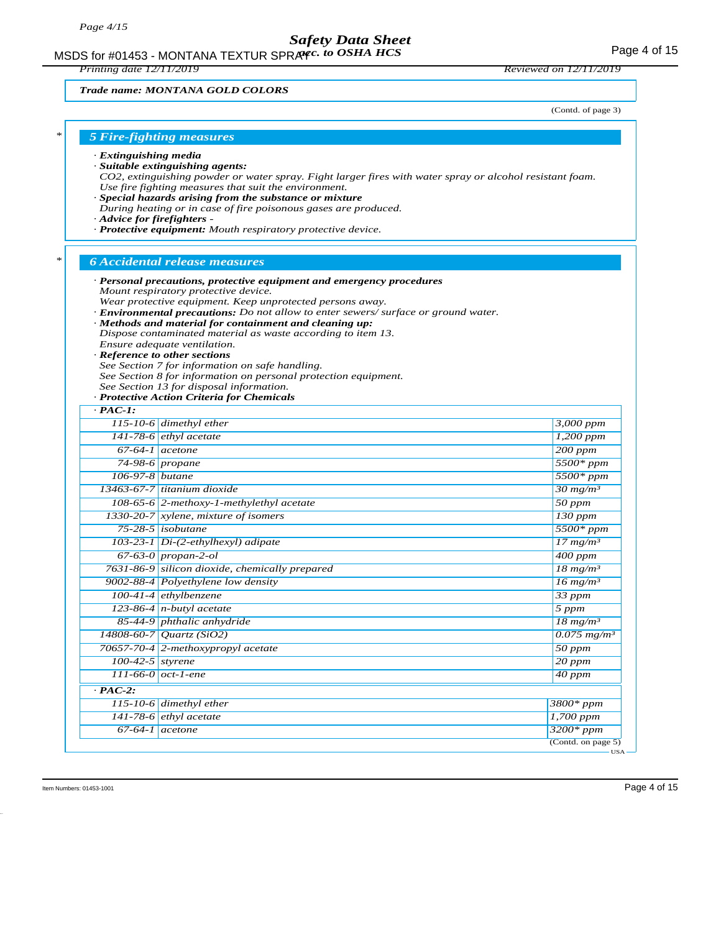MSDS for #01453 - MONTANA TEXTUR SPRAYC. to OSHA HCS **Acceleration of the CALITA** Page 4 of 15

*Printing date 12/11/2019 Reviewed on 12/11/2019*

*Trade name: MONTANA GOLD COLORS*

(Contd. of page 3)

| <b>5 Fire-fighting measures</b> |  |  |
|---------------------------------|--|--|
|                                 |  |  |

- *· Extinguishing media*
- *· Suitable extinguishing agents:*
- *CO2, extinguishing powder or water spray. Fight larger fires with water spray or alcohol resistant foam. Use fire fighting measures that suit the environment.*
- *· Special hazards arising from the substance or mixture*
- *During heating or in case of fire poisonous gases are produced.*

*· Personal precautions, protective equipment and emergency procedures*

- *· Advice for firefighters*
- *· Protective equipment: Mouth respiratory protective device.*

#### *\* 6 Accidental release measures*

- *Mount respiratory protective device. Wear protective equipment. Keep unprotected persons away. · Environmental precautions: Do not allow to enter sewers/ surface or ground water. · Methods and material for containment and cleaning up: Dispose contaminated material as waste according to item 13. Ensure adequate ventilation. · Reference to other sections See Section 7 for information on safe handling. See Section 8 for information on personal protection equipment. See Section 13 for disposal information. · Protective Action Criteria for Chemicals · PAC-1: 115-10-6 dimethyl ether 3,000 ppm 141-78-6 ethyl acetate 1,200 ppm 67-64-1 acetone 200 ppm 74-98-6 propane 5500\* ppm 106-97-8 butane 5500\* ppm 13463-67-7 titanium dioxide 30 mg/m³ 108-65-6 2-methoxy-1-methylethyl acetate 50 ppm 1330-20-7 xylene, mixture of isomers 130 ppm 75-28-5 isobutane 5500\* ppm*
	- *103-23-1 Di-(2-ethylhexyl) adipate 17 mg/m³ 67-63-0 propan-2-ol 400 ppm 7631-86-9 silicon dioxide, chemically prepared 18 mg/m³ 9002-88-4 Polyethylene low density 16 mg/m³ 100-41-4 ethylbenzene 33 ppm 123-86-4 n-butyl acetate 5 ppm 85-44-9 phthalic anhydride 18 mg/m³ 14808-60-7 Quartz (SiO2) 0.075 mg/m³ 70657-70-4 2-methoxypropyl acetate 50 ppm 100-42-5 styrene 20 ppm 111-66-0 oct-1-ene 40 ppm · PAC-2: 115-10-6 dimethyl ether 3800\* ppm 141-78-6 ethyl acetate 1,700 ppm 67-64-1 acetone 3200\* ppm*
- 

(Contd. on page 5)

USA

# *\* 5 Fire-fighting measures*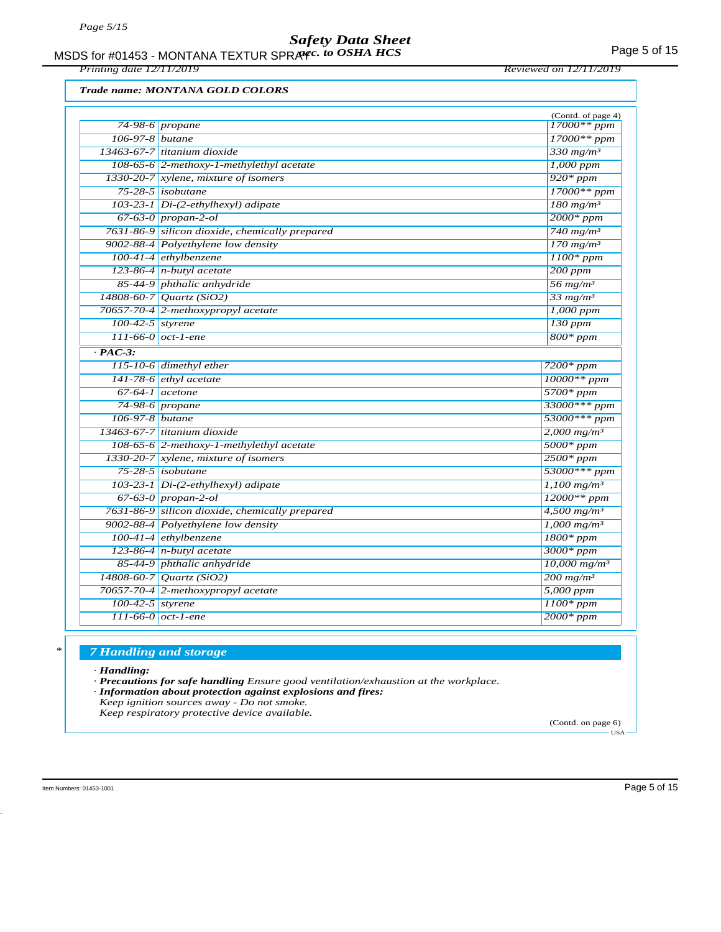MSDS for #01453 - MONTANA TEXTUR SPRAYC. to OSHA HCS **Acceleration of the CALITA** Page 5 of 15

*Printing date 12/11/2019 Reviewed on 12/11/2019*

#### *Trade name: MONTANA GOLD COLORS*

|                    |                                                | (Contd. of page 4)                              |
|--------------------|------------------------------------------------|-------------------------------------------------|
|                    | 74-98-6 propane                                | 17000** ppm                                     |
| $106-97-8$ butane  |                                                | $17000**$ ppm                                   |
|                    | 13463-67-7 titanium dioxide                    | 330 $mg/m^3$                                    |
|                    | 108-65-6 2-methoxy-1-methylethyl acetate       | $1,000$ ppm                                     |
|                    | 1330-20-7 xylene, mixture of isomers           | $920*ppm$                                       |
|                    | $75-28-5$ isobutane                            | $17000**ppm$                                    |
|                    | 103-23-1 Di-(2-ethylhexyl) adipate             | $180$ mg/m <sup>3</sup>                         |
|                    | 67-63-0 propan-2-ol                            | $2000*ppm$                                      |
|                    | 7631-86-9 silicon dioxide, chemically prepared | 740 mg/m <sup>3</sup>                           |
|                    | 9002-88-4 Polyethylene low density             | $170$ mg/m <sup>3</sup>                         |
|                    | $100-41-4$ ethylbenzene                        | $1100*$ ppm                                     |
|                    | 123-86-4 $n$ -butyl acetate                    | $200$ ppm                                       |
|                    | 85-44-9 phthalic anhydride                     | 56 mg/m <sup>3</sup>                            |
|                    | 14808-60-7 Quartz (SiO2)                       | $33$ mg/m <sup>3</sup>                          |
|                    | 70657-70-4 2-methoxypropyl acetate             | $1,000$ ppm                                     |
| $100-42-5$ styrene |                                                | $130$ ppm                                       |
|                    | $111-66-0$ oct-1-ene                           | $800*ppm$                                       |
| $\cdot$ PAC-3:     |                                                |                                                 |
|                    | $115-10-6$ dimethyl ether                      | $7200*ppm$                                      |
|                    | 141-78-6 $ethyl$ acetate                       | $10000**ppm$                                    |
|                    | $67-64-1$ acetone                              | $5700*ppm$                                      |
|                    | 74-98-6 propane                                | 33000*** ppm                                    |
| 106-97-8 butane    |                                                | $53000***$ ppm                                  |
|                    | 13463-67-7 titanium dioxide                    | $2,000$ mg/m <sup>3</sup>                       |
|                    | 108-65-6 2-methoxy-1-methylethyl acetate       | $5000*$ ppm                                     |
|                    | 1330-20-7 xylene, mixture of isomers           | $2500*ppm$                                      |
|                    | $75-28-5$ isobutane                            | 53000*** ppm                                    |
|                    | 103-23-1 Di-(2-ethylhexyl) adipate             | $1,100$ mg/m <sup>3</sup>                       |
|                    | $67-63-0$ propan-2-ol                          | $12000**$ ppm                                   |
|                    | 7631-86-9 silicon dioxide, chemically prepared | $4,500$ mg/m <sup>3</sup>                       |
|                    | 9002-88-4 Polyethylene low density             | $1,000$ mg/m <sup>3</sup>                       |
|                    | 100-41-4 ethylbenzene                          | $1800*ppm$                                      |
|                    | 123-86-4 n-butyl acetate                       | $3000*ppm$                                      |
|                    | 85-44-9 phthalic anhydride                     | $10,000$ mg/m <sup>3</sup>                      |
|                    | 14808-60-7 Quartz (SiO2)                       | $\frac{200 \text{ mg/m}^3}{200 \text{ mg/m}^3}$ |
|                    | 70657-70-4 2-methoxypropyl acetate             | 5,000 ppm                                       |
| $100-42-5$ styrene |                                                | $1100*ppm$                                      |
|                    | $111-66-0$ oct-1-ene                           | $2000*ppm$                                      |

#### *\* 7 Handling and storage*

*· Handling:*

*· Precautions for safe handling Ensure good ventilation/exhaustion at the workplace.*

- *· Information about protection against explosions and fires:*
- *Keep ignition sources away Do not smoke.*

*Keep respiratory protective device available.*

(Contd. on page 6) USA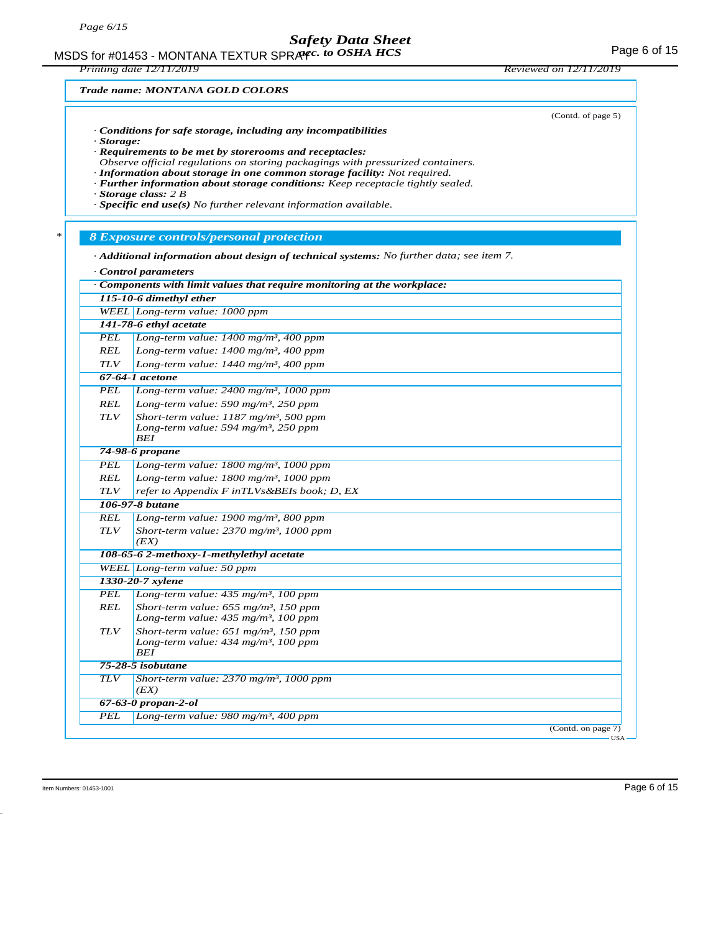MSDS for #01453 - MONTANA TEXTUR SPRAYC. to OSHA HCS **Acceleration of the CALITA** Page 6 of 15

*Printing date 12/11/2019 Reviewed on 12/11/2019*

(Contd. of page 5)

#### *Trade name: MONTANA GOLD COLORS*

- *· Conditions for safe storage, including any incompatibilities*
- *· Storage:*
- *· Requirements to be met by storerooms and receptacles:*
- *Observe official regulations on storing packagings with pressurized containers.*
- *· Information about storage in one common storage facility: Not required.*
- *· Further information about storage conditions: Keep receptacle tightly sealed.*

*· Storage class: 2 B*

*· Specific end use(s) No further relevant information available.*

#### *\* 8 Exposure controls/personal protection*

*· Additional information about design of technical systems: No further data; see item 7.*

| Control parameters                                                     |                                                                                                           |  |  |  |  |
|------------------------------------------------------------------------|-----------------------------------------------------------------------------------------------------------|--|--|--|--|
| Components with limit values that require monitoring at the workplace: |                                                                                                           |  |  |  |  |
|                                                                        | 115-10-6 dimethyl ether                                                                                   |  |  |  |  |
|                                                                        | WEEL Long-term value: 1000 ppm                                                                            |  |  |  |  |
|                                                                        | 141-78-6 ethyl acetate                                                                                    |  |  |  |  |
| PEL                                                                    | Long-term value: $1400$ mg/m <sup>3</sup> , $400$ ppm                                                     |  |  |  |  |
| <b>REL</b>                                                             | Long-term value: $1400$ mg/m <sup>3</sup> , 400 ppm                                                       |  |  |  |  |
| TLV                                                                    | Long-term value: $1440$ mg/m <sup>3</sup> , 400 ppm                                                       |  |  |  |  |
|                                                                        | $67-64-1$ acetone                                                                                         |  |  |  |  |
| <b>PEL</b>                                                             | Long-term value: $2400$ mg/m <sup>3</sup> , 1000 ppm                                                      |  |  |  |  |
| REL                                                                    | Long-term value: 590 mg/m <sup>3</sup> , 250 ppm                                                          |  |  |  |  |
| <b>TLV</b>                                                             | Short-term value: $1187 \text{ mg/m}^3$ , 500 ppm                                                         |  |  |  |  |
|                                                                        | Long-term value: 594 mg/m <sup>3</sup> , 250 ppm                                                          |  |  |  |  |
|                                                                        | <b>BEI</b>                                                                                                |  |  |  |  |
|                                                                        | 74-98-6 propane                                                                                           |  |  |  |  |
| PEL                                                                    | Long-term value: 1800 mg/m <sup>3</sup> , 1000 ppm                                                        |  |  |  |  |
| <b>REL</b>                                                             | Long-term value: $1800$ mg/m <sup>3</sup> , 1000 ppm                                                      |  |  |  |  |
| TLV                                                                    | refer to Appendix F inTLVs&BEIs book; D, EX                                                               |  |  |  |  |
|                                                                        | 106-97-8 butane                                                                                           |  |  |  |  |
| <b>REL</b>                                                             | Long-term value: $1900$ mg/m <sup>3</sup> , 800 ppm                                                       |  |  |  |  |
| <b>TLV</b>                                                             | Short-term value: $2370$ mg/m <sup>3</sup> , 1000 ppm                                                     |  |  |  |  |
|                                                                        | (EX)                                                                                                      |  |  |  |  |
|                                                                        | 108-65-6 2-methoxy-1-methylethyl acetate                                                                  |  |  |  |  |
|                                                                        | WEEL Long-term value: 50 ppm                                                                              |  |  |  |  |
|                                                                        | 1330-20-7 xylene                                                                                          |  |  |  |  |
| <b>PEL</b>                                                             | Long-term value: $435 \text{ mg/m}^3$ , 100 ppm                                                           |  |  |  |  |
| REL                                                                    | Short-term value: $655$ mg/m <sup>3</sup> , 150 ppm<br>Long-term value: $435$ mg/m <sup>3</sup> , 100 ppm |  |  |  |  |
| <b>TLV</b>                                                             | Short-term value: $651$ mg/m <sup>3</sup> , 150 ppm                                                       |  |  |  |  |
|                                                                        | Long-term value: $434$ mg/m <sup>3</sup> , 100 ppm<br><b>BEI</b>                                          |  |  |  |  |
|                                                                        | 75-28-5 isobutane                                                                                         |  |  |  |  |
| <b>TLV</b>                                                             | Short-term value: $2370$ mg/m <sup>3</sup> , 1000 ppm<br>(EX)                                             |  |  |  |  |
|                                                                        | $67 - 63 - 0$ propan-2-ol                                                                                 |  |  |  |  |
| <b>PEL</b>                                                             | Long-term value: $980$ mg/m <sup>3</sup> , 400 ppm                                                        |  |  |  |  |
|                                                                        | (Contd. on page 7)                                                                                        |  |  |  |  |

Item Numbers: 01453-1001 Page 6 of 15

USA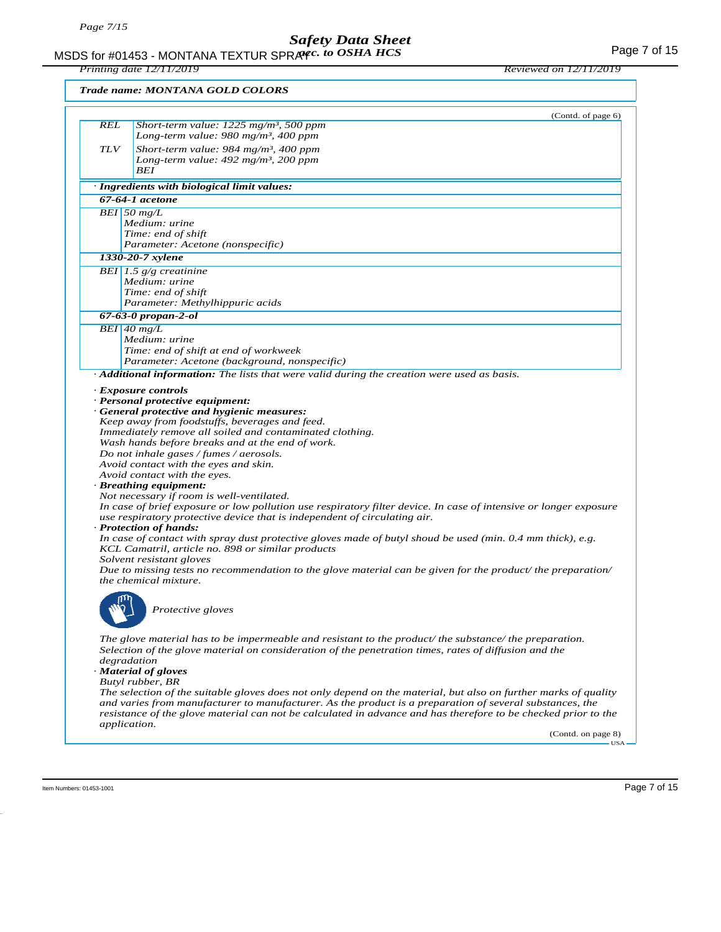*Printing date 12/11/2019 Reviewed on 12/11/2019*

| Short-term value: $1225$ mg/m <sup>3</sup> , 500 ppm<br>Long-term value: 980 mg/m <sup>3</sup> , 400 ppm<br>Short-term value: 984 mg/m <sup>3</sup> , 400 ppm<br>Long-term value: $492$ mg/m <sup>3</sup> , 200 ppm<br>BEI<br>· Ingredients with biological limit values:<br>67-64-1 acetone<br>BEI 50 $mg/L$<br>Medium: urine<br>Time: end of shift<br>Parameter: Acetone (nonspecific)<br>1330-20-7 xylene<br>BEI 1.5 $g/g$ creatinine<br>Medium: urine<br>Time: end of shift<br>Parameter: Methylhippuric acids<br>$67 - 63 - 0$ propan-2-ol<br>$BEI$ 40 mg/L<br>Medium: urine<br>Time: end of shift at end of workweek<br>Parameter: Acetone (background, nonspecific)<br>Additional information: The lists that were valid during the creation were used as basis.<br>· Exposure controls<br>· Personal protective equipment:<br>· General protective and hygienic measures:<br>Keep away from foodstuffs, beverages and feed.<br>Immediately remove all soiled and contaminated clothing.<br>Wash hands before breaks and at the end of work.<br>Do not inhale gases / fumes / aerosols.<br>Avoid contact with the eyes and skin.<br>Avoid contact with the eyes.<br>· Breathing equipment:<br>Not necessary if room is well-ventilated.<br>In case of brief exposure or low pollution use respiratory filter device. In case of intensive or longer exposure<br>use respiratory protective device that is independent of circulating air.<br>· Protection of hands:<br>In case of contact with spray dust protective gloves made of butyl shoud be used (min. 0.4 mm thick), e.g.<br>KCL Camatril, article no. 898 or similar products<br>Solvent resistant gloves<br>Due to missing tests no recommendation to the glove material can be given for the product/ the preparation/<br>the chemical mixture.<br>Protective gloves<br>The glove material has to be impermeable and resistant to the product/ the substance/ the preparation.<br>Selection of the glove material on consideration of the penetration times, rates of diffusion and the<br>degradation<br>· Material of gloves<br>Butyl rubber, BR<br>The selection of the suitable gloves does not only depend on the material, but also on further marks of quality<br>and varies from manufacturer to manufacturer. As the product is a preparation of several substances, the<br>resistance of the glove material can not be calculated in advance and has therefore to be checked prior to the<br><i>application.</i> |            | Trade name: MONTANA GOLD COLORS |
|----------------------------------------------------------------------------------------------------------------------------------------------------------------------------------------------------------------------------------------------------------------------------------------------------------------------------------------------------------------------------------------------------------------------------------------------------------------------------------------------------------------------------------------------------------------------------------------------------------------------------------------------------------------------------------------------------------------------------------------------------------------------------------------------------------------------------------------------------------------------------------------------------------------------------------------------------------------------------------------------------------------------------------------------------------------------------------------------------------------------------------------------------------------------------------------------------------------------------------------------------------------------------------------------------------------------------------------------------------------------------------------------------------------------------------------------------------------------------------------------------------------------------------------------------------------------------------------------------------------------------------------------------------------------------------------------------------------------------------------------------------------------------------------------------------------------------------------------------------------------------------------------------------------------------------------------------------------------------------------------------------------------------------------------------------------------------------------------------------------------------------------------------------------------------------------------------------------------------------------------------------------------------------------------------------------------------------------------------------------------------------------------------------------------------------------------------------------------------------------------|------------|---------------------------------|
|                                                                                                                                                                                                                                                                                                                                                                                                                                                                                                                                                                                                                                                                                                                                                                                                                                                                                                                                                                                                                                                                                                                                                                                                                                                                                                                                                                                                                                                                                                                                                                                                                                                                                                                                                                                                                                                                                                                                                                                                                                                                                                                                                                                                                                                                                                                                                                                                                                                                                              |            | (Contd. of page 6)              |
|                                                                                                                                                                                                                                                                                                                                                                                                                                                                                                                                                                                                                                                                                                                                                                                                                                                                                                                                                                                                                                                                                                                                                                                                                                                                                                                                                                                                                                                                                                                                                                                                                                                                                                                                                                                                                                                                                                                                                                                                                                                                                                                                                                                                                                                                                                                                                                                                                                                                                              | REL        |                                 |
|                                                                                                                                                                                                                                                                                                                                                                                                                                                                                                                                                                                                                                                                                                                                                                                                                                                                                                                                                                                                                                                                                                                                                                                                                                                                                                                                                                                                                                                                                                                                                                                                                                                                                                                                                                                                                                                                                                                                                                                                                                                                                                                                                                                                                                                                                                                                                                                                                                                                                              |            |                                 |
|                                                                                                                                                                                                                                                                                                                                                                                                                                                                                                                                                                                                                                                                                                                                                                                                                                                                                                                                                                                                                                                                                                                                                                                                                                                                                                                                                                                                                                                                                                                                                                                                                                                                                                                                                                                                                                                                                                                                                                                                                                                                                                                                                                                                                                                                                                                                                                                                                                                                                              | <b>TLV</b> |                                 |
|                                                                                                                                                                                                                                                                                                                                                                                                                                                                                                                                                                                                                                                                                                                                                                                                                                                                                                                                                                                                                                                                                                                                                                                                                                                                                                                                                                                                                                                                                                                                                                                                                                                                                                                                                                                                                                                                                                                                                                                                                                                                                                                                                                                                                                                                                                                                                                                                                                                                                              |            |                                 |
|                                                                                                                                                                                                                                                                                                                                                                                                                                                                                                                                                                                                                                                                                                                                                                                                                                                                                                                                                                                                                                                                                                                                                                                                                                                                                                                                                                                                                                                                                                                                                                                                                                                                                                                                                                                                                                                                                                                                                                                                                                                                                                                                                                                                                                                                                                                                                                                                                                                                                              |            |                                 |
|                                                                                                                                                                                                                                                                                                                                                                                                                                                                                                                                                                                                                                                                                                                                                                                                                                                                                                                                                                                                                                                                                                                                                                                                                                                                                                                                                                                                                                                                                                                                                                                                                                                                                                                                                                                                                                                                                                                                                                                                                                                                                                                                                                                                                                                                                                                                                                                                                                                                                              |            |                                 |
|                                                                                                                                                                                                                                                                                                                                                                                                                                                                                                                                                                                                                                                                                                                                                                                                                                                                                                                                                                                                                                                                                                                                                                                                                                                                                                                                                                                                                                                                                                                                                                                                                                                                                                                                                                                                                                                                                                                                                                                                                                                                                                                                                                                                                                                                                                                                                                                                                                                                                              |            |                                 |
|                                                                                                                                                                                                                                                                                                                                                                                                                                                                                                                                                                                                                                                                                                                                                                                                                                                                                                                                                                                                                                                                                                                                                                                                                                                                                                                                                                                                                                                                                                                                                                                                                                                                                                                                                                                                                                                                                                                                                                                                                                                                                                                                                                                                                                                                                                                                                                                                                                                                                              |            |                                 |
|                                                                                                                                                                                                                                                                                                                                                                                                                                                                                                                                                                                                                                                                                                                                                                                                                                                                                                                                                                                                                                                                                                                                                                                                                                                                                                                                                                                                                                                                                                                                                                                                                                                                                                                                                                                                                                                                                                                                                                                                                                                                                                                                                                                                                                                                                                                                                                                                                                                                                              |            |                                 |
|                                                                                                                                                                                                                                                                                                                                                                                                                                                                                                                                                                                                                                                                                                                                                                                                                                                                                                                                                                                                                                                                                                                                                                                                                                                                                                                                                                                                                                                                                                                                                                                                                                                                                                                                                                                                                                                                                                                                                                                                                                                                                                                                                                                                                                                                                                                                                                                                                                                                                              |            |                                 |
|                                                                                                                                                                                                                                                                                                                                                                                                                                                                                                                                                                                                                                                                                                                                                                                                                                                                                                                                                                                                                                                                                                                                                                                                                                                                                                                                                                                                                                                                                                                                                                                                                                                                                                                                                                                                                                                                                                                                                                                                                                                                                                                                                                                                                                                                                                                                                                                                                                                                                              |            |                                 |
|                                                                                                                                                                                                                                                                                                                                                                                                                                                                                                                                                                                                                                                                                                                                                                                                                                                                                                                                                                                                                                                                                                                                                                                                                                                                                                                                                                                                                                                                                                                                                                                                                                                                                                                                                                                                                                                                                                                                                                                                                                                                                                                                                                                                                                                                                                                                                                                                                                                                                              |            |                                 |
|                                                                                                                                                                                                                                                                                                                                                                                                                                                                                                                                                                                                                                                                                                                                                                                                                                                                                                                                                                                                                                                                                                                                                                                                                                                                                                                                                                                                                                                                                                                                                                                                                                                                                                                                                                                                                                                                                                                                                                                                                                                                                                                                                                                                                                                                                                                                                                                                                                                                                              |            |                                 |
|                                                                                                                                                                                                                                                                                                                                                                                                                                                                                                                                                                                                                                                                                                                                                                                                                                                                                                                                                                                                                                                                                                                                                                                                                                                                                                                                                                                                                                                                                                                                                                                                                                                                                                                                                                                                                                                                                                                                                                                                                                                                                                                                                                                                                                                                                                                                                                                                                                                                                              |            |                                 |
|                                                                                                                                                                                                                                                                                                                                                                                                                                                                                                                                                                                                                                                                                                                                                                                                                                                                                                                                                                                                                                                                                                                                                                                                                                                                                                                                                                                                                                                                                                                                                                                                                                                                                                                                                                                                                                                                                                                                                                                                                                                                                                                                                                                                                                                                                                                                                                                                                                                                                              |            |                                 |
|                                                                                                                                                                                                                                                                                                                                                                                                                                                                                                                                                                                                                                                                                                                                                                                                                                                                                                                                                                                                                                                                                                                                                                                                                                                                                                                                                                                                                                                                                                                                                                                                                                                                                                                                                                                                                                                                                                                                                                                                                                                                                                                                                                                                                                                                                                                                                                                                                                                                                              |            |                                 |
|                                                                                                                                                                                                                                                                                                                                                                                                                                                                                                                                                                                                                                                                                                                                                                                                                                                                                                                                                                                                                                                                                                                                                                                                                                                                                                                                                                                                                                                                                                                                                                                                                                                                                                                                                                                                                                                                                                                                                                                                                                                                                                                                                                                                                                                                                                                                                                                                                                                                                              |            |                                 |
|                                                                                                                                                                                                                                                                                                                                                                                                                                                                                                                                                                                                                                                                                                                                                                                                                                                                                                                                                                                                                                                                                                                                                                                                                                                                                                                                                                                                                                                                                                                                                                                                                                                                                                                                                                                                                                                                                                                                                                                                                                                                                                                                                                                                                                                                                                                                                                                                                                                                                              |            |                                 |
|                                                                                                                                                                                                                                                                                                                                                                                                                                                                                                                                                                                                                                                                                                                                                                                                                                                                                                                                                                                                                                                                                                                                                                                                                                                                                                                                                                                                                                                                                                                                                                                                                                                                                                                                                                                                                                                                                                                                                                                                                                                                                                                                                                                                                                                                                                                                                                                                                                                                                              |            |                                 |
|                                                                                                                                                                                                                                                                                                                                                                                                                                                                                                                                                                                                                                                                                                                                                                                                                                                                                                                                                                                                                                                                                                                                                                                                                                                                                                                                                                                                                                                                                                                                                                                                                                                                                                                                                                                                                                                                                                                                                                                                                                                                                                                                                                                                                                                                                                                                                                                                                                                                                              |            |                                 |
|                                                                                                                                                                                                                                                                                                                                                                                                                                                                                                                                                                                                                                                                                                                                                                                                                                                                                                                                                                                                                                                                                                                                                                                                                                                                                                                                                                                                                                                                                                                                                                                                                                                                                                                                                                                                                                                                                                                                                                                                                                                                                                                                                                                                                                                                                                                                                                                                                                                                                              |            |                                 |
|                                                                                                                                                                                                                                                                                                                                                                                                                                                                                                                                                                                                                                                                                                                                                                                                                                                                                                                                                                                                                                                                                                                                                                                                                                                                                                                                                                                                                                                                                                                                                                                                                                                                                                                                                                                                                                                                                                                                                                                                                                                                                                                                                                                                                                                                                                                                                                                                                                                                                              |            |                                 |
|                                                                                                                                                                                                                                                                                                                                                                                                                                                                                                                                                                                                                                                                                                                                                                                                                                                                                                                                                                                                                                                                                                                                                                                                                                                                                                                                                                                                                                                                                                                                                                                                                                                                                                                                                                                                                                                                                                                                                                                                                                                                                                                                                                                                                                                                                                                                                                                                                                                                                              |            |                                 |
|                                                                                                                                                                                                                                                                                                                                                                                                                                                                                                                                                                                                                                                                                                                                                                                                                                                                                                                                                                                                                                                                                                                                                                                                                                                                                                                                                                                                                                                                                                                                                                                                                                                                                                                                                                                                                                                                                                                                                                                                                                                                                                                                                                                                                                                                                                                                                                                                                                                                                              |            |                                 |
|                                                                                                                                                                                                                                                                                                                                                                                                                                                                                                                                                                                                                                                                                                                                                                                                                                                                                                                                                                                                                                                                                                                                                                                                                                                                                                                                                                                                                                                                                                                                                                                                                                                                                                                                                                                                                                                                                                                                                                                                                                                                                                                                                                                                                                                                                                                                                                                                                                                                                              |            |                                 |
|                                                                                                                                                                                                                                                                                                                                                                                                                                                                                                                                                                                                                                                                                                                                                                                                                                                                                                                                                                                                                                                                                                                                                                                                                                                                                                                                                                                                                                                                                                                                                                                                                                                                                                                                                                                                                                                                                                                                                                                                                                                                                                                                                                                                                                                                                                                                                                                                                                                                                              |            | (Contd. on page 8)              |

Item Numbers: 01453-1001 Page 7 of 15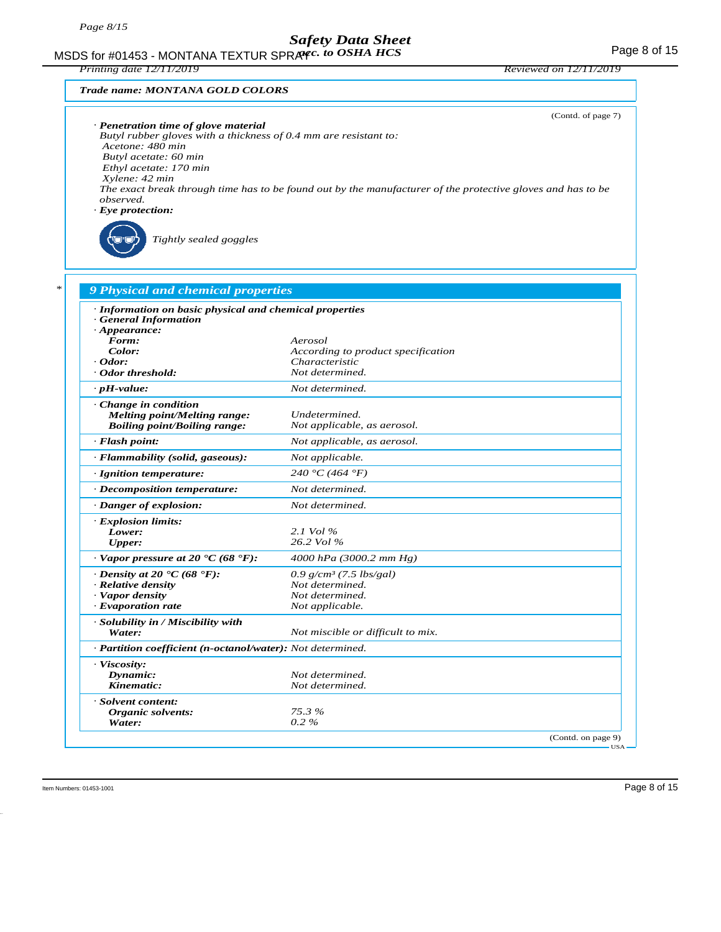MSDS for #01453 - MONTANA TEXTUR SPRAYC. to OSHA HCS The Second text of the Second Page 8 of 15 *acc. to OSHA HCS*

*Printing date 12/11/2019 Reviewed on 12/11/2019*

#### *Trade name: MONTANA GOLD COLORS*

*Tightly sealed goggles*

|                                                                                                             | (Contd. of page 7) |
|-------------------------------------------------------------------------------------------------------------|--------------------|
| · Penetration time of glove material                                                                        |                    |
| Butyl rubber gloves with a thickness of 0.4 mm are resistant to:                                            |                    |
| Acetone: 480 min                                                                                            |                    |
| Butyl acetate: 60 min                                                                                       |                    |
| Ethyl acetate: 170 min                                                                                      |                    |
| Xylene: 42 min                                                                                              |                    |
| The exact break through time has to be found out by the manufacturer of the protective gloves and has to be |                    |
| observed.                                                                                                   |                    |
| $\cdot$ Eye protection:                                                                                     |                    |
|                                                                                                             |                    |

| · Information on basic physical and chemical properties    |                                    |  |
|------------------------------------------------------------|------------------------------------|--|
| · General Information                                      |                                    |  |
| $\cdot$ Appearance:                                        |                                    |  |
| Form:                                                      | Aerosol                            |  |
| Color:                                                     | According to product specification |  |
| $\cdot$ Odor:                                              | Characteristic                     |  |
| · Odor threshold:                                          | Not determined.                    |  |
| $\cdot$ pH-value:                                          | Not determined.                    |  |
| Change in condition                                        |                                    |  |
| Melting point/Melting range:                               | Undetermined.                      |  |
| <b>Boiling point/Boiling range:</b>                        | Not applicable, as aerosol.        |  |
| · Flash point:                                             | Not applicable, as aerosol.        |  |
| · Flammability (solid, gaseous):                           | Not applicable.                    |  |
| · Ignition temperature:                                    | 240 °C (464 °F)                    |  |
| · Decomposition temperature:                               | Not determined.                    |  |
| · Danger of explosion:                                     | Not determined.                    |  |
| · Explosion limits:                                        |                                    |  |
| Lower:                                                     | 2.1 Vol $\%$                       |  |
| <b>Upper:</b>                                              | 26.2 Vol %                         |  |
| $\cdot$ Vapor pressure at 20 $\cdot$ C (68 $\cdot$ F):     | 4000 hPa (3000.2 mm Hg)            |  |
| $\cdot$ Density at 20 $\cdot$ C (68 $\cdot$ F):            | 0.9 $g/cm^3$ (7.5 lbs/gal)         |  |
| · Relative density                                         | Not determined.                    |  |
| · Vapor density                                            | Not determined.                    |  |
| · Evaporation rate                                         | Not applicable.                    |  |
| · Solubility in / Miscibility with                         |                                    |  |
| Water:                                                     | Not miscible or difficult to mix.  |  |
| · Partition coefficient (n-octanol/water): Not determined. |                                    |  |
| · Viscosity:                                               |                                    |  |
| Dynamic:                                                   | Not determined.                    |  |
| Kinematic:                                                 | Not determined.                    |  |
| · Solvent content:                                         |                                    |  |
| Organic solvents:                                          | 75.3%                              |  |
| Water:                                                     | $0.2 \%$                           |  |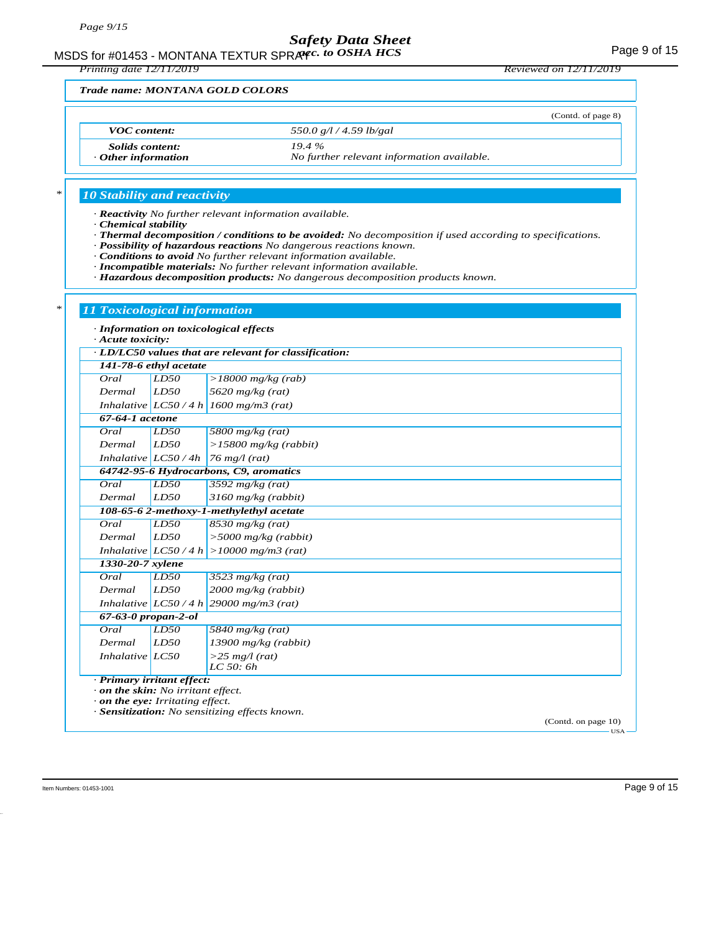MSDS for #01453 - MONTANA TEXTUR SPRAYC. to OSHA HCS **Acceleration of the CALITA** Page 9 of 15

*Printing date 12/11/2019 Reviewed on 12/11/2019*

#### *Trade name: MONTANA GOLD COLORS*

|                                                     | (Contd. of page 8)                                  |
|-----------------------------------------------------|-----------------------------------------------------|
| <b>VOC</b> content:                                 | 550.0 g/l / 4.59 lb/gal                             |
| <i>Solids content:</i><br>$\cdot$ Other information | 19.4%<br>No further relevant information available. |

#### *\* 10 Stability and reactivity*

*· Reactivity No further relevant information available.*

- *· Chemical stability*
- *· Thermal decomposition / conditions to be avoided: No decomposition if used according to specifications.*
- *· Possibility of hazardous reactions No dangerous reactions known.*
- *· Conditions to avoid No further relevant information available.*
- *· Incompatible materials: No further relevant information available.*
- *· Hazardous decomposition products: No dangerous decomposition products known.*

| · Information on toxicological effects<br>· Acute toxicity: |                                                        |                                                |  |  |  |
|-------------------------------------------------------------|--------------------------------------------------------|------------------------------------------------|--|--|--|
|                                                             | · LD/LC50 values that are relevant for classification: |                                                |  |  |  |
|                                                             | 141-78-6 ethyl acetate                                 |                                                |  |  |  |
| Oral                                                        | LD50                                                   | $>18000$ mg/kg (rab)                           |  |  |  |
| Dermal                                                      | LD50                                                   | 5620 mg/kg (rat)                               |  |  |  |
|                                                             |                                                        | Inhalative $ LCS0/4 h  1600 mg/m3$ (rat)       |  |  |  |
| 67-64-1 acetone                                             |                                                        |                                                |  |  |  |
| Oral                                                        | LD50                                                   | 5800 mg/kg $(rat)$                             |  |  |  |
| Dermal                                                      | LD50                                                   | $>15800$ mg/kg (rabbit)                        |  |  |  |
|                                                             | Inhalative $LC50/4h$                                   | $76$ mg/l (rat)                                |  |  |  |
|                                                             |                                                        | 64742-95-6 Hydrocarbons, C9, aromatics         |  |  |  |
| Oral                                                        | LD50                                                   | 3592 $mg/kg$ (rat)                             |  |  |  |
| Dermal                                                      | LD50                                                   | $3160$ mg/kg (rabbit)                          |  |  |  |
|                                                             |                                                        | 108-65-6 2-methoxy-1-methylethyl acetate       |  |  |  |
| Oral<br>LD50<br>$8530$ mg/kg (rat)                          |                                                        |                                                |  |  |  |
| Dermal                                                      | LD50                                                   | $>$ 5000 mg/kg (rabbit)                        |  |  |  |
|                                                             |                                                        | Inhalative $ LCS0/4 h  > 10000 mg/m3$ (rat)    |  |  |  |
| 1330-20-7 xylene                                            |                                                        |                                                |  |  |  |
| Oral                                                        | LD50                                                   | $3523$ mg/kg (rat)                             |  |  |  |
| Dermal                                                      | LD50                                                   | 2000 mg/kg (rabbit)                            |  |  |  |
|                                                             |                                                        | Inhalative $LC50/4 h$ 29000 mg/m3 (rat)        |  |  |  |
| $67 - 63 - 0$ propan-2-ol                                   |                                                        |                                                |  |  |  |
| Oral                                                        | LD50                                                   | 5840 mg/kg $(rat)$                             |  |  |  |
| Dermal                                                      | LD50                                                   | $13900$ mg/kg (rabbit)                         |  |  |  |
| Inhalative LC50                                             |                                                        | $>$ 25 mg/l (rat)<br>$LC$ 50: 6 $h$            |  |  |  |
| · Primary irritant effect:                                  |                                                        |                                                |  |  |  |
| . on the skin: No irritant effect.                          |                                                        |                                                |  |  |  |
| $\cdot$ on the eye: Irritating effect.                      |                                                        | · Sensitization: No sensitizing effects known. |  |  |  |

Item Numbers: 01453-1001 Page 9 of 15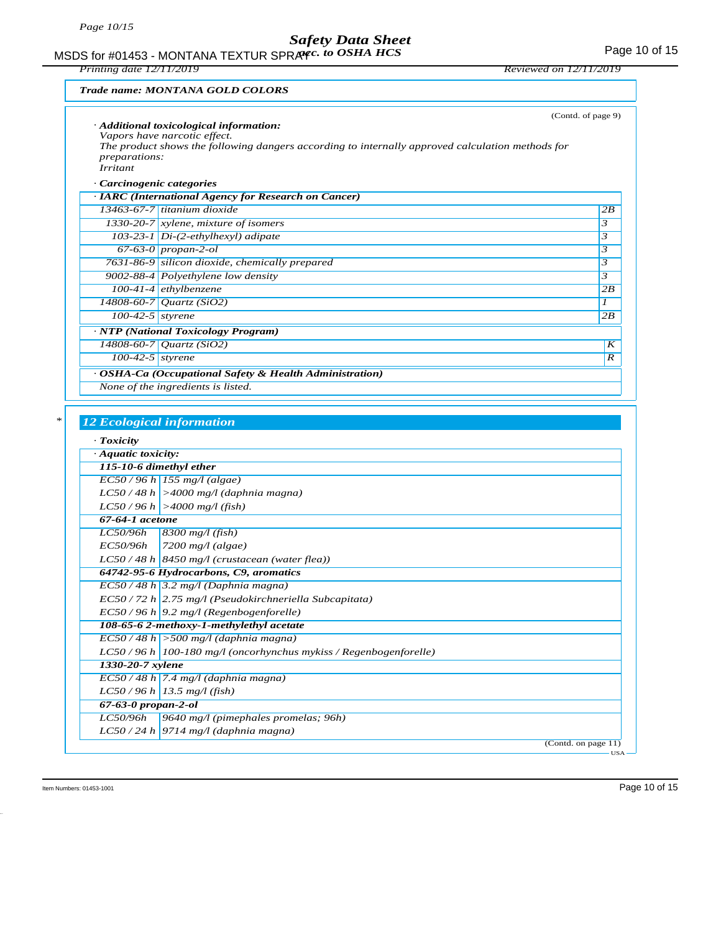MSDS for #01453 - MONTANA TEXTUR SPRAYC. to OSHA HCS For the Management of the Page 10 of 15 *acc. to OSHA HCS*

*Printing date 12/11/2019 Reviewed on 12/11/2019*

#### *Trade name: MONTANA GOLD COLORS*

|                                         | · Additional toxicological information:<br>Vapors have narcotic effect.<br>The product shows the following dangers according to internally approved calculation methods for | (Contd. of page 9)  |
|-----------------------------------------|-----------------------------------------------------------------------------------------------------------------------------------------------------------------------------|---------------------|
| <i>preparations:</i><br><b>Irritant</b> |                                                                                                                                                                             |                     |
|                                         |                                                                                                                                                                             |                     |
| · Carcinogenic categories               |                                                                                                                                                                             |                     |
|                                         | · IARC (International Agency for Research on Cancer)                                                                                                                        |                     |
|                                         | $13463-67-7$ titanium dioxide                                                                                                                                               | 2B                  |
|                                         | 1330-20-7 $x$ ylene, mixture of isomers                                                                                                                                     | $\mathbf{3}$        |
|                                         | 103-23-1 $Di-(2-ethylhexyl)$ adipate                                                                                                                                        | 3                   |
|                                         | 67-63-0 propan-2-ol                                                                                                                                                         | 3                   |
|                                         | 7631-86-9 silicon dioxide, chemically prepared                                                                                                                              | 3                   |
|                                         | 9002-88-4 Polyethylene low density                                                                                                                                          | 3                   |
|                                         | 100-41-4 ethylbenzene                                                                                                                                                       | 2B                  |
|                                         | 14808-60-7 Quartz (SiO2)                                                                                                                                                    | $\boldsymbol{\eta}$ |
| $100-42-5$ styrene                      |                                                                                                                                                                             | 2B                  |
|                                         | · NTP (National Toxicology Program)                                                                                                                                         |                     |
|                                         | 14808-60-7 Quartz (SiO2)                                                                                                                                                    | K                   |
| $100-42-5$ styrene                      |                                                                                                                                                                             | $\boldsymbol{R}$    |
|                                         | · OSHA-Ca (Occupational Safety & Health Administration)                                                                                                                     |                     |
|                                         | None of the ingredients is listed.                                                                                                                                          |                     |
|                                         |                                                                                                                                                                             |                     |
|                                         |                                                                                                                                                                             |                     |
|                                         | <b>12 Ecological information</b>                                                                                                                                            |                     |
| $\cdot$ Toxicity                        |                                                                                                                                                                             |                     |
| · Aquatic toxicity:                     |                                                                                                                                                                             |                     |
| 115-10-6 dimethyl ether                 |                                                                                                                                                                             |                     |
|                                         | $EC50/96 h$ 155 mg/l (algae)                                                                                                                                                |                     |
|                                         | $LC50/48 h$ >4000 mg/l (daphnia magna)                                                                                                                                      |                     |
|                                         |                                                                                                                                                                             |                     |
| 67-64-1 acetone                         | $LC50/96 h$ >4000 mg/l (fish)                                                                                                                                               |                     |

|                                          | <i>LC50/96h</i>                        | $8300$ mg/l (fish)                                                 |  |
|------------------------------------------|----------------------------------------|--------------------------------------------------------------------|--|
|                                          | EC50/96h                               | 7200 mg/l (algae)                                                  |  |
|                                          |                                        | $LC50/48 h$ 8450 mg/l (crustacean (water flea))                    |  |
|                                          | 64742-95-6 Hydrocarbons, C9, aromatics |                                                                    |  |
|                                          |                                        | $EC50/48 h$ 3.2 mg/l (Daphnia magna)                               |  |
|                                          |                                        | $EC$ 50 / 72 h 2.75 mg/l (Pseudokirchneriella Subcapitata)         |  |
|                                          |                                        | $EC50/96 h$ 9.2 mg/l (Regenbogenforelle)                           |  |
| 108-65-6 2-methoxy-1-methylethyl acetate |                                        |                                                                    |  |
|                                          |                                        | $EC50/48 h$ > 500 mg/l (daphnia magna)                             |  |
|                                          |                                        | $LC50/96 h$ 100-180 mg/l (oncorhynchus mykiss / Regenbogenforelle) |  |
|                                          | 1330-20-7 xylene                       |                                                                    |  |
|                                          |                                        | $EC50/48 h$ 7.4 mg/l (daphnia magna)                               |  |
|                                          |                                        | $LC50/96 h$ 13.5 mg/l (fish)                                       |  |
|                                          | $67 - 63 - 0$ propan-2-ol              |                                                                    |  |
|                                          | LC50/96h                               | 9640 mg/l (pimephales promelas; 96h)                               |  |
|                                          |                                        | $LC50/24 h$ 9714 mg/l (daphnia magna)                              |  |
|                                          |                                        | (Contd. on page 11)                                                |  |

USA

Item Numbers: 01453-1001 Page 10 of 15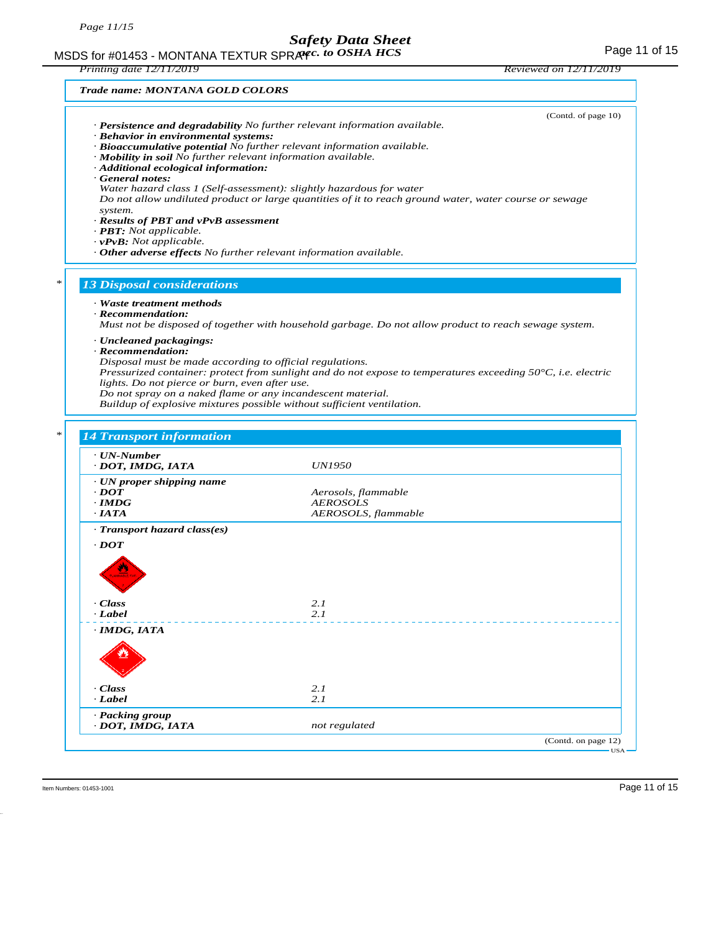#### MSDS for #01453 - MONTANA TEXTUR SPRAYC. to OSHA HCS For the Management of 15 *acc. to OSHA HCS*

*Printing date 12/11/2019 Reviewed on 12/11/2019*

| · Behavior in environmental systems:<br>· Mobility in soil No further relevant information available.<br>· Additional ecological information:<br>General notes:<br>system.<br>· Results of PBT and vPvB assessment<br>$\cdot$ <b>PBT</b> : Not applicable.<br>$\cdot$ vPvB: Not applicable. | (Contd. of page 10)<br>$\cdot$ Persistence and degradability No further relevant information available.<br>· Bioaccumulative potential No further relevant information available.<br>Water hazard class 1 (Self-assessment): slightly hazardous for water<br>Do not allow undiluted product or large quantities of it to reach ground water, water course or sewage<br>· Other adverse effects No further relevant information available. |
|---------------------------------------------------------------------------------------------------------------------------------------------------------------------------------------------------------------------------------------------------------------------------------------------|-------------------------------------------------------------------------------------------------------------------------------------------------------------------------------------------------------------------------------------------------------------------------------------------------------------------------------------------------------------------------------------------------------------------------------------------|
| <b>13 Disposal considerations</b>                                                                                                                                                                                                                                                           |                                                                                                                                                                                                                                                                                                                                                                                                                                           |
| $\cdot$ Recommendation:<br>· Uncleaned packagings:<br>$\cdot$ Recommendation:<br>Disposal must be made according to official regulations.<br>lights. Do not pierce or burn, even after use.<br>Do not spray on a naked flame or any incandescent material.                                  | Must not be disposed of together with household garbage. Do not allow product to reach sewage system.<br>Pressurized container: protect from sunlight and do not expose to temperatures exceeding $50^{\circ}$ C, i.e. electric<br>Buildup of explosive mixtures possible without sufficient ventilation.                                                                                                                                 |
| <b>14 Transport information</b>                                                                                                                                                                                                                                                             |                                                                                                                                                                                                                                                                                                                                                                                                                                           |
| · UN-Number                                                                                                                                                                                                                                                                                 | <i>UN1950</i>                                                                                                                                                                                                                                                                                                                                                                                                                             |
| DOT, IMDG, IATA                                                                                                                                                                                                                                                                             |                                                                                                                                                                                                                                                                                                                                                                                                                                           |
| $\cdot$ UN proper shipping name<br>$\cdot$ <i>DOT</i><br>$\cdot$ IMDG<br>$\cdot$ IATA                                                                                                                                                                                                       | Aerosols, flammable<br><i>AEROSOLS</i><br>AEROSOLS, flammable                                                                                                                                                                                                                                                                                                                                                                             |
| · Transport hazard class(es)                                                                                                                                                                                                                                                                |                                                                                                                                                                                                                                                                                                                                                                                                                                           |
| $\cdot$ DOT<br>· Class                                                                                                                                                                                                                                                                      | 2.1                                                                                                                                                                                                                                                                                                                                                                                                                                       |
| · Label<br>· IMDG, IATA                                                                                                                                                                                                                                                                     | 2.1                                                                                                                                                                                                                                                                                                                                                                                                                                       |
|                                                                                                                                                                                                                                                                                             |                                                                                                                                                                                                                                                                                                                                                                                                                                           |
| · Class<br>$-Label$                                                                                                                                                                                                                                                                         | 2.1<br>2.1                                                                                                                                                                                                                                                                                                                                                                                                                                |
| · Packing group<br>· DOT, IMDG, IATA                                                                                                                                                                                                                                                        | not regulated                                                                                                                                                                                                                                                                                                                                                                                                                             |

50.0.2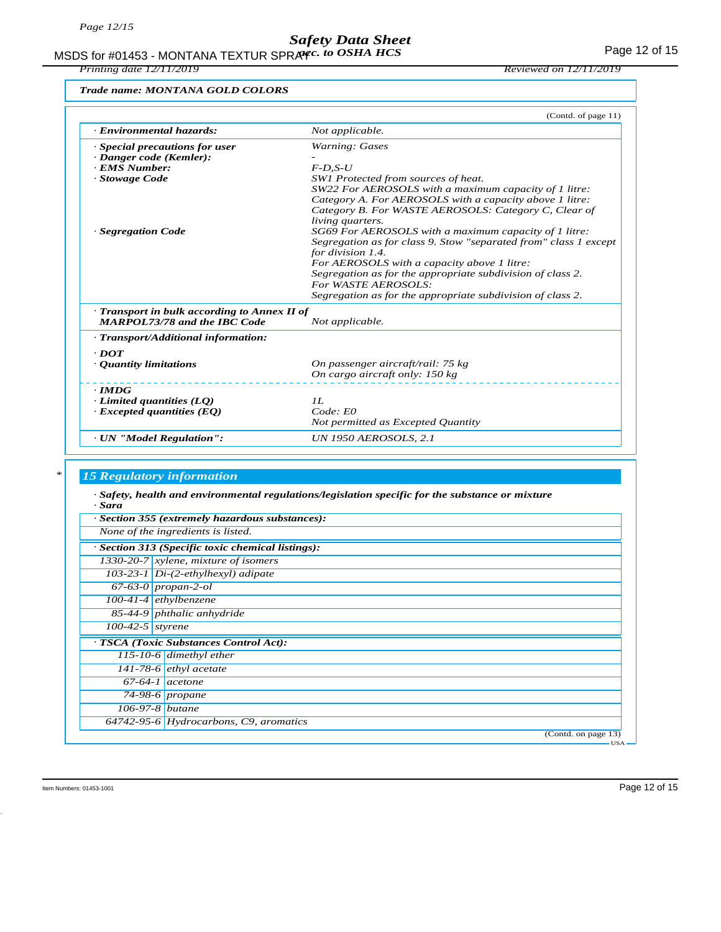MSDS for #01453 - MONTANA TEXTUR SPRAY*c. to OSHA HCS* Formulation of the state of 15

*Printing date 12/11/2019 Reviewed on 12/11/2019*

*Trade name: MONTANA GOLD COLORS*

|                                              | (Contd. of page 11)                                              |
|----------------------------------------------|------------------------------------------------------------------|
| · Environmental hazards:                     | Not applicable.                                                  |
| · Special precautions for user               | Warning: Gases                                                   |
| · Danger code (Kemler):                      |                                                                  |
| · EMS Number:                                | $F$ -D.S-U                                                       |
| · Stowage Code                               | SW1 Protected from sources of heat.                              |
|                                              | SW22 For AEROSOLS with a maximum capacity of 1 litre:            |
|                                              | Category A. For AEROSOLS with a capacity above 1 litre:          |
|                                              | Category B. For WASTE AEROSOLS: Category C, Clear of             |
|                                              | living quarters.                                                 |
| · Segregation Code                           | SG69 For AEROSOLS with a maximum capacity of 1 litre:            |
|                                              | Segregation as for class 9. Stow "separated from" class 1 except |
|                                              | for division 1.4.                                                |
|                                              | For AEROSOLS with a capacity above 1 litre:                      |
|                                              | Segregation as for the appropriate subdivision of class 2.       |
|                                              | For WASTE AEROSOLS:                                              |
|                                              | Segregation as for the appropriate subdivision of class 2.       |
|                                              |                                                                  |
| · Transport in bulk according to Annex II of |                                                                  |
| <b>MARPOL73/78 and the IBC Code</b>          | Not applicable.                                                  |
| · Transport/Additional information:          |                                                                  |
| $\cdot$ DOT                                  |                                                                  |
| • Quantity limitations                       | On passenger aircraft/rail: 75 kg                                |
|                                              | On cargo aircraft only: 150 kg                                   |
| $\cdot$ IMDG                                 |                                                                  |
| $\cdot$ Limited quantities (LO)              | II.                                                              |
| $\cdot$ Excepted quantities (EQ)             | Code: E0                                                         |
|                                              | Not permitted as Excepted Quantity                               |
| · UN "Model Regulation":                     | <b>UN 1950 AEROSOLS, 2.1</b>                                     |

### *\* 15 Regulatory information*

*· Safety, health and environmental regulations/legislation specific for the substance or mixture · Sara*

|                    | · Section 355 (extremely hazardous substances):   |  |  |  |
|--------------------|---------------------------------------------------|--|--|--|
|                    | None of the ingredients is listed.                |  |  |  |
|                    | · Section 313 (Specific toxic chemical listings): |  |  |  |
|                    | 1330-20-7 $x$ ylene, mixture of isomers           |  |  |  |
|                    | $103-23-1$ Di- $(2-ethylhexyl)$ adipate           |  |  |  |
|                    | $67-63-0$ propan-2-ol                             |  |  |  |
|                    | $100-41-4$ ethylbenzene                           |  |  |  |
|                    | 85-44-9 phthalic anhydride                        |  |  |  |
| $100-42-5$ styrene |                                                   |  |  |  |
|                    | · TSCA (Toxic Substances Control Act):            |  |  |  |
|                    | 115-10-6 dimethyl ether                           |  |  |  |
|                    | $141-78-6$ ethyl acetate                          |  |  |  |
|                    | $67-64-1$ acetone                                 |  |  |  |
|                    | $74-98-6$ propane                                 |  |  |  |
|                    | $106 - 97 - 8$ <i>butane</i>                      |  |  |  |
|                    | 64742-95-6 Hydrocarbons, C9, aromatics            |  |  |  |
|                    | (Contd. on page 13)                               |  |  |  |

Item Numbers: 01453-1001 Page 12 of 15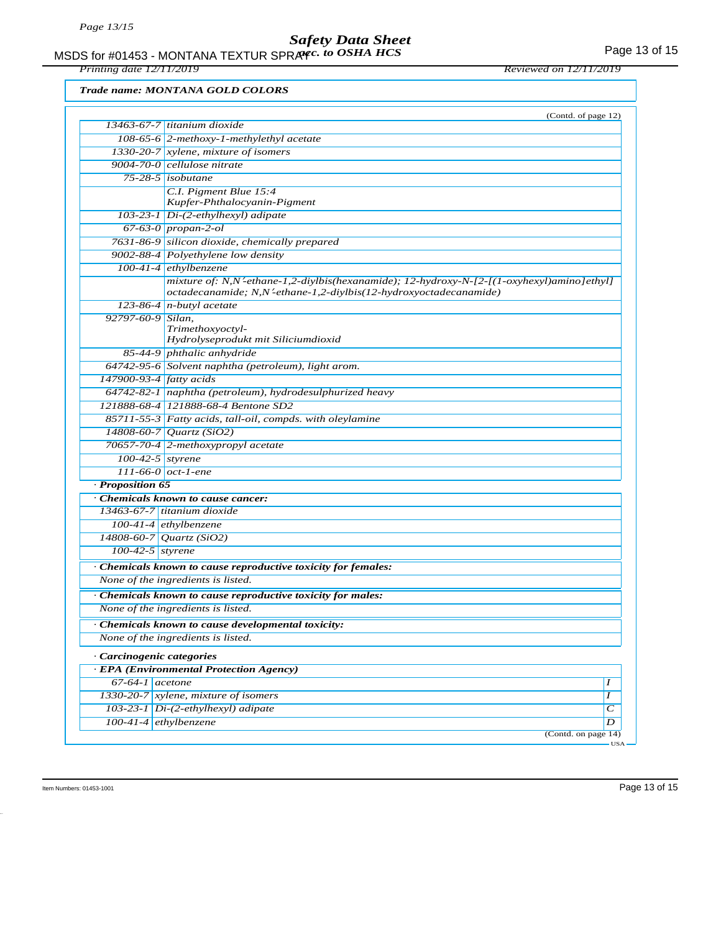MSDS for #01453 - MONTANA TEXTUR SPRAYC. to OSHA HCS The Second text of the Second Page 13 of 15 *acc. to OSHA HCS*

*Printing date 12/11/2019 Reviewed on 12/11/2019*

*Trade name: MONTANA GOLD COLORS*

|                           | (Contd. of page 12)<br>$13463-67-7$ titanium dioxide                                                                                                            |         |
|---------------------------|-----------------------------------------------------------------------------------------------------------------------------------------------------------------|---------|
|                           |                                                                                                                                                                 |         |
|                           | 108-65-6 2-methoxy-1-methylethyl acetate                                                                                                                        |         |
|                           | 1330-20-7 xylene, mixture of isomers                                                                                                                            |         |
|                           | 9004-70-0 cellulose nitrate                                                                                                                                     |         |
|                           | $75-28-5$ isobutane                                                                                                                                             |         |
|                           | C.I. Pigment Blue 15:4<br>Kupfer-Phthalocyanin-Pigment                                                                                                          |         |
|                           | 103-23-1 Di-(2-ethylhexyl) adipate                                                                                                                              |         |
|                           | $67-63-0$ propan-2-ol                                                                                                                                           |         |
|                           | 7631-86-9 silicon dioxide, chemically prepared                                                                                                                  |         |
|                           | 9002-88-4 Polyethylene low density                                                                                                                              |         |
|                           | $100-41-4$ ethylbenzene                                                                                                                                         |         |
|                           | mixture of: N,N'-ethane-1,2-diylbis(hexanamide); 12-hydroxy-N-[2-[(1-oxyhexyl)amino]ethyl]<br>octadecanamide; N,N'-ethane-1,2-diylbis(12-hydroxyoctadecanamide) |         |
|                           | 123-86-4 $n$ -butyl acetate                                                                                                                                     |         |
| 92797-60-9 Silan,         |                                                                                                                                                                 |         |
|                           | Trimethoxyoctyl-                                                                                                                                                |         |
|                           | Hydrolyseprodukt mit Siliciumdioxid                                                                                                                             |         |
|                           | 85-44-9 phthalic anhydride                                                                                                                                      |         |
|                           | 64742-95-6 Solvent naphtha (petroleum), light arom.                                                                                                             |         |
| 147900-93-4 fatty acids   |                                                                                                                                                                 |         |
|                           | $64742-82-1$ naphtha (petroleum), hydrodesulphurized heavy                                                                                                      |         |
|                           | 121888-68-4 121888-68-4 Bentone SD2                                                                                                                             |         |
|                           | 85711-55-3 Fatty acids, tall-oil, compds. with oleylamine                                                                                                       |         |
|                           | 14808-60-7 Quartz (SiO2)                                                                                                                                        |         |
|                           | 70657-70-4 2-methoxypropyl acetate                                                                                                                              |         |
|                           | $100-42-5$ styrene                                                                                                                                              |         |
|                           | 111-66-0 $oct$ -1-ene                                                                                                                                           |         |
| · Proposition 65          |                                                                                                                                                                 |         |
|                           | Chemicals known to cause cancer:                                                                                                                                |         |
|                           | 13463-67-7 titanium dioxide                                                                                                                                     |         |
|                           | $100-41-4$ ethylbenzene                                                                                                                                         |         |
|                           | 14808-60-7 Quartz (SiO2)                                                                                                                                        |         |
| $100-42-5$ styrene        |                                                                                                                                                                 |         |
|                           | · Chemicals known to cause reproductive toxicity for females:                                                                                                   |         |
|                           | None of the ingredients is listed.                                                                                                                              |         |
|                           | · Chemicals known to cause reproductive toxicity for males:                                                                                                     |         |
|                           | None of the ingredients is listed.                                                                                                                              |         |
|                           | Chemicals known to cause developmental toxicity:                                                                                                                |         |
|                           | None of the ingredients is listed.                                                                                                                              |         |
| · Carcinogenic categories |                                                                                                                                                                 |         |
|                           | · EPA (Environmental Protection Agency)                                                                                                                         |         |
| $67-64-1$ acetone         |                                                                                                                                                                 | 1       |
|                           | 1330-20-7 xylene, mixture of isomers                                                                                                                            | I       |
|                           | 103-23-1 Di-(2-ethylhexyl) adipate                                                                                                                              | $\,c\,$ |
|                           | 100-41-4 ethylbenzene                                                                                                                                           | D       |
|                           |                                                                                                                                                                 |         |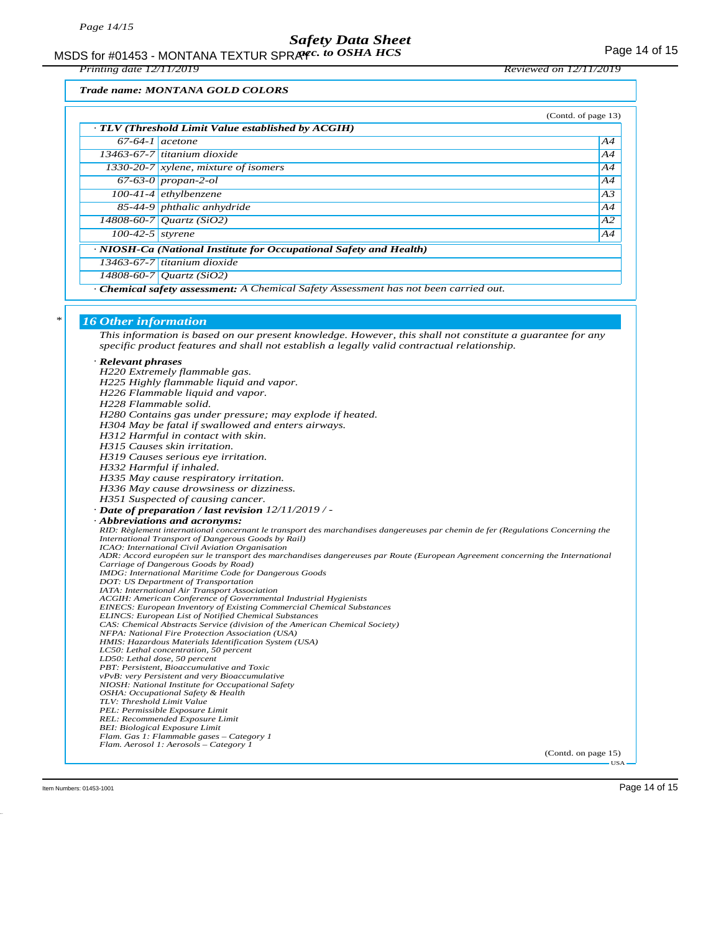MSDS for #01453 - MONTANA TEXTUR SPRAY*c. to OSHA HCS* Formulation of 15

*Printing date 12/11/2019 Reviewed on 12/11/2019*

#### *Trade name: MONTANA GOLD COLORS*

|                    |                                                                                                                         | (Contd. of page 13) |
|--------------------|-------------------------------------------------------------------------------------------------------------------------|---------------------|
|                    | $\cdot$ TLV (Threshold Limit Value established by ACGIH)                                                                |                     |
| $67-64-1$ acetone  |                                                                                                                         | A4                  |
|                    | 13463-67-7 titanium dioxide                                                                                             | A4                  |
|                    | 1330-20-7 xylene, mixture of isomers                                                                                    | A4                  |
|                    | $67-63-0$ propan-2-ol                                                                                                   | A4                  |
|                    | $100-41-4$ ethylbenzene                                                                                                 | A3                  |
|                    | 85-44-9 phthalic anhydride                                                                                              | A4                  |
|                    | 14808-60-7 Ouartz (SiO2)                                                                                                | A2                  |
| $100-42-5$ styrene |                                                                                                                         | A4                  |
|                    | · NIOSH-Ca (National Institute for Occupational Safety and Health)                                                      |                     |
|                    | $13463-67-7$ titanium dioxide                                                                                           |                     |
|                    | 14808-60-7 Ouartz (SiO2)                                                                                                |                     |
|                    | $Cl_1$ and all suffers are received. A $Cl_2$ and all $Cl_2$ for $\Lambda$ are seen and $L$ and $L$ and a second of any |                     |

*· Chemical safety assessment: A Chemical Safety Assessment has not been carried out.*

#### *\* 16 Other information*

*This information is based on our present knowledge. However, this shall not constitute a guarantee for any specific product features and shall not establish a legally valid contractual relationship.*

#### *· Relevant phrases*

| Relevant prirases                                                                                                                                                                      |
|----------------------------------------------------------------------------------------------------------------------------------------------------------------------------------------|
| H220 Extremely flammable gas.                                                                                                                                                          |
| H225 Highly flammable liquid and vapor.                                                                                                                                                |
| H226 Flammable liquid and vapor.                                                                                                                                                       |
| H228 Flammable solid.                                                                                                                                                                  |
| H280 Contains gas under pressure; may explode if heated.                                                                                                                               |
| H304 May be fatal if swallowed and enters airways.                                                                                                                                     |
| H312 Harmful in contact with skin.                                                                                                                                                     |
| H315 Causes skin irritation.                                                                                                                                                           |
| H319 Causes serious eye irritation.                                                                                                                                                    |
| H332 Harmful if inhaled.                                                                                                                                                               |
| H335 May cause respiratory irritation.                                                                                                                                                 |
| H336 May cause drowsiness or dizziness.                                                                                                                                                |
|                                                                                                                                                                                        |
| H351 Suspected of causing cancer.                                                                                                                                                      |
| $\cdot$ Date of preparation / last revision 12/11/2019/-                                                                                                                               |
| <b>Abbreviations and acronyms:</b>                                                                                                                                                     |
| RID: Règlement international concernant le transport des marchandises dangereuses par chemin de fer (Regulations Concerning the<br>International Transport of Dangerous Goods by Rail) |
| ICAO: International Civil Aviation Organisation                                                                                                                                        |
| ADR: Accord européen sur le transport des marchandises dangereuses par Route (European Agreement concerning the International                                                          |
| Carriage of Dangerous Goods by Road)                                                                                                                                                   |
| <b>IMDG:</b> International Maritime Code for Dangerous Goods                                                                                                                           |
| DOT: US Department of Transportation                                                                                                                                                   |
| IATA: International Air Transport Association                                                                                                                                          |
| ACGIH: American Conference of Governmental Industrial Hygienists<br><b>EINECS: European Inventory of Existing Commercial Chemical Substances</b>                                       |
| <b>ELINCS: European List of Notified Chemical Substances</b>                                                                                                                           |
| CAS: Chemical Abstracts Service (division of the American Chemical Society)                                                                                                            |
| NFPA: National Fire Protection Association (USA)                                                                                                                                       |
| HMIS: Hazardous Materials Identification System (USA)                                                                                                                                  |
| LC50: Lethal concentration, 50 percent                                                                                                                                                 |
| LD50: Lethal dose, 50 percent<br>PBT: Persistent, Bioaccumulative and Toxic                                                                                                            |
| vPvB: very Persistent and very Bioaccumulative                                                                                                                                         |
| NIOSH: National Institute for Occupational Safety                                                                                                                                      |
| OSHA: Occupational Safety & Health                                                                                                                                                     |
| TLV: Threshold Limit Value                                                                                                                                                             |
| PEL: Permissible Exposure Limit                                                                                                                                                        |
| REL: Recommended Exposure Limit                                                                                                                                                        |
| <b>BEI: Biological Exposure Limit</b><br>Flam. Gas 1: Flammable gases - Category 1                                                                                                     |
| Flam. Aerosol 1: Aerosols - Category 1                                                                                                                                                 |
|                                                                                                                                                                                        |

(Contd. on page 15) USA

Item Numbers: 01453-1001 Page 14 of 15